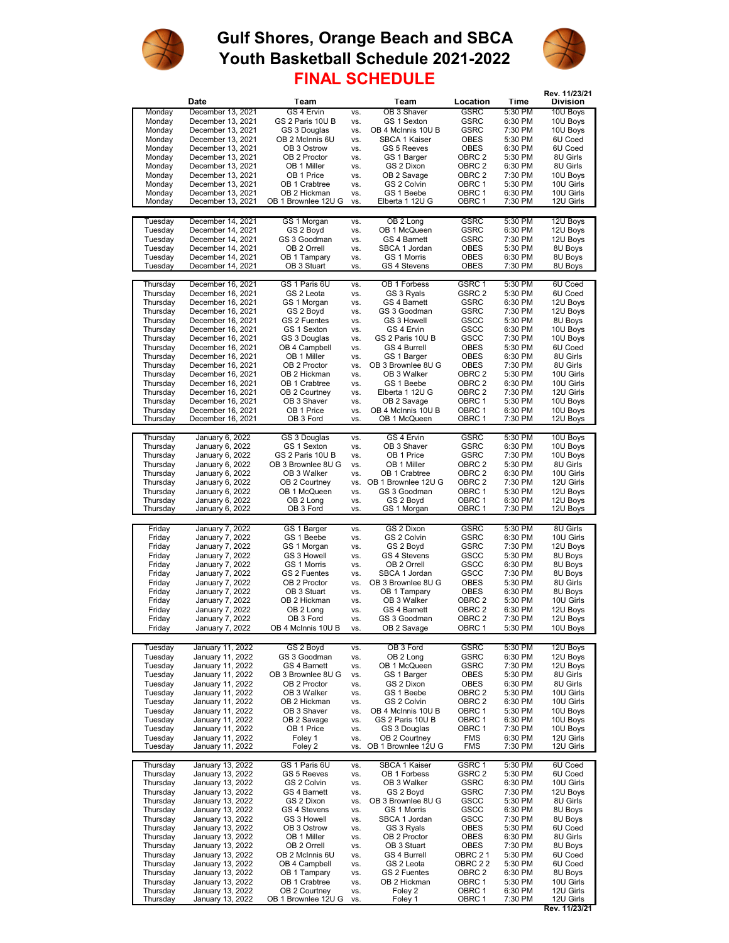

## **Gulf Shores, Orange Beach and SBCA FINAL SCHEDULE Youth Basketball Schedule 2021-2022**



**Rev. 11/23/21**

## **Rev. 11/23/21 Team Team Location Time Division** Monday December 13, 2021 GS 4 Ervin vs. OB 3 Shaver GSRC 5:30 PM 10U Boys Monday December 13, 2021 GS 2 Paris 10U B vs. GS 1 Sexton GSRC 6:30 PM 10U Boys Monday December 13, 2021 GS 3 Douglas vs. OB 4 McInnis 10U B GSRC 7:30 PM 10U Boys Monday December 13, 2021 OB 2 McInnis 6U vs. SBCA 1 Kaiser OBES 5:30 PM 6U Coed Monday December 13, 2021 OB 3 Ostrow vs. GS 5 Reeves OBES 6:30 PM 6U Coed Monday December 13, 2021 OB 2 Proctor vs. GS 1 Barger OBRC 2 5:30 PM 8U Girls<br>Monday December 13, 2021 OB 1 Miller vs. GS 2 Dixon OBRC 2 6:30 PM 8U Girls Monday December 13, 2021 OB 1 Miller vs. GS 2 Dixon OBRC 2 6:30 PM 8U Girls Monday December 13, 2021 OB 1 Price vs. OB 2 Savage OBRC 2 7:30 PM 10U Boys Monday December 13, 2021 OB 1 Crabtree vs. GS 2 Colvin OBRC 1 5:30 PM 10U Girls Monday December 13, 2021 OB 2 Hickman vs. GS 1 Beebe OBRC 1 6:30 PM 10U Girls<br>Monday December 13, 2021 OB 1 Brownlee 12U G vs. Elberta 1 12U G OBRC 1 7:30 PM 12U Girls OB 1 Brownlee 12U G Tuesday December 14, 2021 GS 1 Morgan vs. OB 2 Long GSRC 5:30 PM 12U Boys Tuesday December 14, 2021 GS 2 Boyd vs. OB 1 McQueen GSRC 6:30 PM 12U Boys Tuesday December 14, 2021 GS 3 Goodman vs. GS 4 Barnett GSRC 7:30 PM 12U Boys Tuesday December 14, 2021 OB 2 Orrell vs. SBCA 1 Jordan OBES 5:30 PM 8U Boys Tuesday December 14, 2021 OB 1 Tampary vs. GS 1 Morris OBES 6:30 PM 8U Boys December 14, 2021 Thursday December 16, 2021 GS 1 Paris 6U vs. OB 1 Forbess GSRC 1 5:30 PM 6U Coed Thursday December 16, 2021 GS 2 Leota vs. GS 3 Ryals GSRC 2 5:30 PM 6U Coed<br>Thursday December 16, 2021 GS 1 Morgan vs. GS 4 Barnett GSRC 6:30 PM 12U Boys Thursday December 16, 2021 GS 1 Morgan vs. GS 4 Barnett GSRC 6:30 PM 12U Boys Thursday December 16, 2021 GS 2 Boyd vs. GS 3 Goodman GSRC 7:30 PM 12U Boys<br>Thursday December 16, 2021 GS 2 Fuentes vs. GS 3 Howell GSCC 5:30 PM 8U Boys Thursday December 16, 2021 GS 2 Fuentes vs. GS 3 Howell GSCC 5:30 PM 8U Boys<br>Thursday December 16, 2021 GS 1 Sexton vs. GS 4 Ervin GSCC 6:30 PM 10U Boys Thursday December 16, 2021 GS 1 Sexton vs. GS 4 Ervin GSCC 6:30 PM 10U Boys<br>Thursday December 16, 2021 GS 3 Douglas vs. GS 2 Paris 10U B GSCC 7:30 PM 10U Boys Thursday December 16, 2021 GS 3 Douglas vs. GS 2 Paris 10U B GSCC 7:30 PM 10U Boys Thursday December 16, 2021 OB 4 Campbell vs. GS 4 Burrell OBES 5:30 PM 6U Coed Thursday December 16, 2021 OB 1 Miller vs. GS 1 Barger OBES 6:30 PM 8U Girls<br>Thursdav December 16. 2021 OB 2 Proctor vs. OB 3 Brownlee 8U G OBES 7:30 PM 8U Girls Thursday December 16, 2021 OB 2 Proctor vs. OB 3 Brownlee 8U G OBES 7:30 PM 8U Girls<br>Thursday December 16, 2021 OB 2 Hickman vs. OB 3 Walker OBRC 2 5:30 PM 10U Girls Thursday December 16, 2021 OB 2 Hickman vs. OB 3 Walker OBRC 2 5:30 PM 10U Girls<br>Thursday December 16, 2021 OB 1 Crabtree vs. GS 1 Beebe OBRC 2 6:30 PM 10U Girls Thursday December 16, 2021 OB 1 Crabtree vs. GS 1 Beebe OBRC 2 6:30 PM 10U Girls<br>Thursday December 16, 2021 OB 2 Courtney vs. Elberta 1 12U G OBRC 2 7:30 PM 12U Girls Thursday December 16, 2021 OB 2 Courtney vs. Elberta 1 12U G OBRC 2 7:30 PM 1 2U Girls<br>Thursday December 16, 2021 OB 3 Shaver vs. OB 2 Savage OBRC 1 5:30 PM 10U Boys Thursday December 16, 2021 OB 3 Shaver vs. OB 2 Savage OBRC 1 5:30 PM 10U Boys<br>Thursday December 16, 2021 OB 1 Price vs. OB 4 McInnis 10U B OBRC 1 6:30 PM 10U Boys Thursday December 16, 2021 OB 1 Price vs. OB 4 McInnis 10U B OBRC 1 6:30 PM 10U Boys<br>Thursday December 16, 2021 OB 3 Ford vs. OB 1 McQueen OBRC 1 7:30 PM 12U Boys Becember 16, 2021<br>December 16, 2021 Thursday January 6, 2022 GS 3 Douglas vs. GS 4 Ervin GSRC 5:30 PM 10U Boys<br>Thursday January 6, 2022 GS 1 Sexton vs. OB 3 Shaver GSRC 6:30 PM 10U Boys Thursday January 6, 2022 GS 1 Sexton vs. OB 3 Shaver GSRC 6:30 PM 10U Boys<br>Thursday January 6, 2022 GS 2 Paris 10U B vs. OB 1 Price GSRC 7:30 PM 10U Boys Thursday January 6, 2022 GS 2 Paris 10U B vs. OB 1 Price GSRC 7:30 PM 10U Boys<br>Thursday January 6, 2022 OB 3 Brownlee 8U G vs. OB 1 Miller OBRC 2 5:30 PM 8U Girls Thursday January 6, 2022 OB 3 Brownlee 8U G vs. OB 1 Miller OBRC 2 5:30 PM 8U Girls<br>Thursday January 6, 2022 OB 3 Walker vs. OB 1 Crabtree OBRC 2 6:30 PM 10U Girls January 6, 2022 Thursday January 6, 2022 OB 2 Courtney vs. OB 1 Brownlee 12U G OBRC 2 7:30 PM 12U Girls Date<br>December 13, 2021

| Thursday | January 6, 2022  | $UB \angle$ Courtriey | VS. | OB I BROWNIER IZU G | UBRU Z            | 7:30 PM | <b>IZU GINS</b> |
|----------|------------------|-----------------------|-----|---------------------|-------------------|---------|-----------------|
| Thursday | January 6, 2022  | OB 1 McQueen          | VS. | GS 3 Goodman        | OBRC 1            | 5:30 PM | 12U Boys        |
| Thursdav | January 6, 2022  | OB 2 Long             | VS. | GS 2 Bovd           | OBRC 1            | 6:30 PM | 12U Boys        |
| Thursday | January 6, 2022  | OB 3 Ford             | VS. | GS 1 Morgan         | OBRC 1            | 7:30 PM | 12U Boys        |
|          |                  |                       |     |                     |                   |         |                 |
| Friday   | January 7, 2022  | GS 1 Barger           | VS. | GS 2 Dixon          | <b>GSRC</b>       | 5:30 PM | 8U Girls        |
| Fridav   | January 7, 2022  | GS 1 Beebe            | VS. | GS 2 Colvin         | <b>GSRC</b>       | 6:30 PM | 10U Girls       |
| Friday   | January 7, 2022  | GS 1 Morgan           | VS. | GS 2 Boyd           | <b>GSRC</b>       | 7:30 PM | 12U Boys        |
| Friday   | January 7, 2022  | GS 3 Howell           | VS. | GS 4 Stevens        | GSCC              | 5:30 PM | 8U Boys         |
| Friday   | January 7, 2022  | GS 1 Morris           | VS. | OB 2 Orrell         | GSCC              | 6:30 PM | 8U Boys         |
| Friday   | January 7, 2022  | GS 2 Fuentes          | VS. | SBCA 1 Jordan       | GSCC              | 7:30 PM | 8U Boys         |
| Friday   | January 7, 2022  | OB 2 Proctor          | VS. | OB 3 Brownlee 8U G  | <b>OBES</b>       | 5:30 PM | 8U Girls        |
| Friday   | January 7, 2022  | OB 3 Stuart           | VS. | OB 1 Tampary        | <b>OBES</b>       | 6:30 PM | 8U Boys         |
| Friday   | January 7, 2022  | OB 2 Hickman          | VS. | OB 3 Walker         | OBRC <sub>2</sub> | 5:30 PM | 10U Girls       |
| Friday   | January 7, 2022  | OB 2 Long             | VS. | GS 4 Barnett        | OBRC <sub>2</sub> | 6:30 PM | 12U Boys        |
| Friday   | January 7, 2022  | OB 3 Ford             | VS. | GS 3 Goodman        | OBRC <sub>2</sub> | 7:30 PM | 12U Boys        |
| Friday   | January 7, 2022  | OB 4 McInnis 10U B    | VS. | OB 2 Savage         | OBRC 1            | 5:30 PM | 10U Boys        |
|          |                  |                       |     |                     |                   |         |                 |
| Tuesdav  | January 11, 2022 | GS 2 Boyd             | VS. | OB 3 Ford           | <b>GSRC</b>       | 5:30 PM | 12U Boys        |
| Tuesday  | January 11, 2022 | GS 3 Goodman          | VS. | OB 2 Long           | <b>GSRC</b>       | 6:30 PM | 12U Boys        |
| Tuesday  | January 11, 2022 | GS 4 Barnett          | VS. | OB 1 McQueen        | <b>GSRC</b>       | 7:30 PM | 12U Boys        |
| Tuesday  | January 11, 2022 | OB 3 Brownlee 8U G    | VS. | GS 1 Barger         | <b>OBES</b>       | 5:30 PM | 8U Girls        |
| Tuesdav  | January 11, 2022 | OB 2 Proctor          | VS. | GS 2 Dixon          | <b>OBES</b>       | 6:30 PM | 8U Girls        |
| Tuesdav  | January 11, 2022 | OB 3 Walker           | VS. | GS 1 Beebe          | OBRC 2            | 5:30 PM | 10U Girls       |
| Tuesday  | January 11, 2022 | OB 2 Hickman          | VS. | GS 2 Colvin         | OBRC <sub>2</sub> | 6:30 PM | 10U Girls       |
| Tuesday  | January 11, 2022 | OB 3 Shaver           | VS. | OB 4 McInnis 10U B  | OBRC 1            | 5:30 PM | 10U Boys        |
| Tuesday  | January 11, 2022 | OB 2 Savage           | VS. | GS 2 Paris 10U B    | OBRC 1            | 6:30 PM | 10U Boys        |
| Tuesday  | January 11, 2022 | OB 1 Price            | VS. | GS 3 Douglas        | OBRC 1            | 7:30 PM | 10U Boys        |
| Tuesday  | January 11, 2022 | Foley 1               | VS. | OB 2 Courtney       | <b>FMS</b>        | 6:30 PM | 12U Girls       |
| Tuesday  | January 11, 2022 | Foley 2               | VS. | OB 1 Brownlee 12U G | <b>FMS</b>        | 7:30 PM | 12U Girls       |
|          |                  |                       |     |                     |                   |         |                 |
| Thursday | January 13, 2022 | GS 1 Paris 6U         | VS. | SBCA 1 Kaiser       | GSRC 1            | 5:30 PM | 6U Coed         |
| Thursday | January 13, 2022 | GS 5 Reeves           | VS. | OB 1 Forbess        | GSRC <sub>2</sub> | 5:30 PM | 6U Coed         |
| Thursday | January 13, 2022 | GS 2 Colvin           | VS. | OB 3 Walker         | <b>GSRC</b>       | 6:30 PM | 10U Girls       |
| Thursday | January 13, 2022 | GS 4 Barnett          | VS. | GS 2 Boyd           | <b>GSRC</b>       | 7:30 PM | 12U Boys        |
| Thursday | January 13, 2022 | GS 2 Dixon            | VS. | OB 3 Brownlee 8U G  | GSCC              | 5:30 PM | 8U Girls        |
| Thursday | January 13, 2022 | GS 4 Stevens          | VS. | GS 1 Morris         | GSCC              | 6:30 PM | 8U Boys         |
| Thursday | January 13, 2022 | GS 3 Howell           | VS. | SBCA 1 Jordan       | GSCC              | 7:30 PM | 8U Boys         |
| Thursday | January 13, 2022 | OB 3 Ostrow           | VS. | GS 3 Ryals          | <b>OBES</b>       | 5:30 PM | 6U Coed         |
| Thursdav | January 13, 2022 | OB 1 Miller           | VS. | OB 2 Proctor        | <b>OBES</b>       | 6:30 PM | 8U Girls        |
| Thursday | January 13, 2022 | OB 2 Orrell           | VS. | OB 3 Stuart         | <b>OBES</b>       | 7:30 PM | 8U Boys         |
| Thursday | January 13, 2022 | OB 2 McInnis 6U       | VS. | GS 4 Burrell        | OBRC 21           | 5:30 PM | 6U Coed         |
| Thursday | January 13, 2022 | OB 4 Campbell         | VS. | GS 2 Leota          | OBRC 22           | 5:30 PM | 6U Coed         |
| Thursday | January 13, 2022 | OB 1 Tampary          | VS. | GS 2 Fuentes        | OBRC <sub>2</sub> | 6:30 PM | 8U Boys         |
| Thursday | January 13, 2022 | OB 1 Crabtree         | VS. | OB 2 Hickman        | OBRC 1            | 5:30 PM | 10U Girls       |
| Thursday | January 13, 2022 | OB 2 Courtney         | VS. | Foley 2             | OBRC 1            | 6:30 PM | 12U Girls       |
| Thursday | January 13, 2022 | OB 1 Brownlee 12U G   | VS. | Foley 1             | OBRC 1            | 7:30 PM | 12U Girls       |

OB 1 Brownlee 12U G vs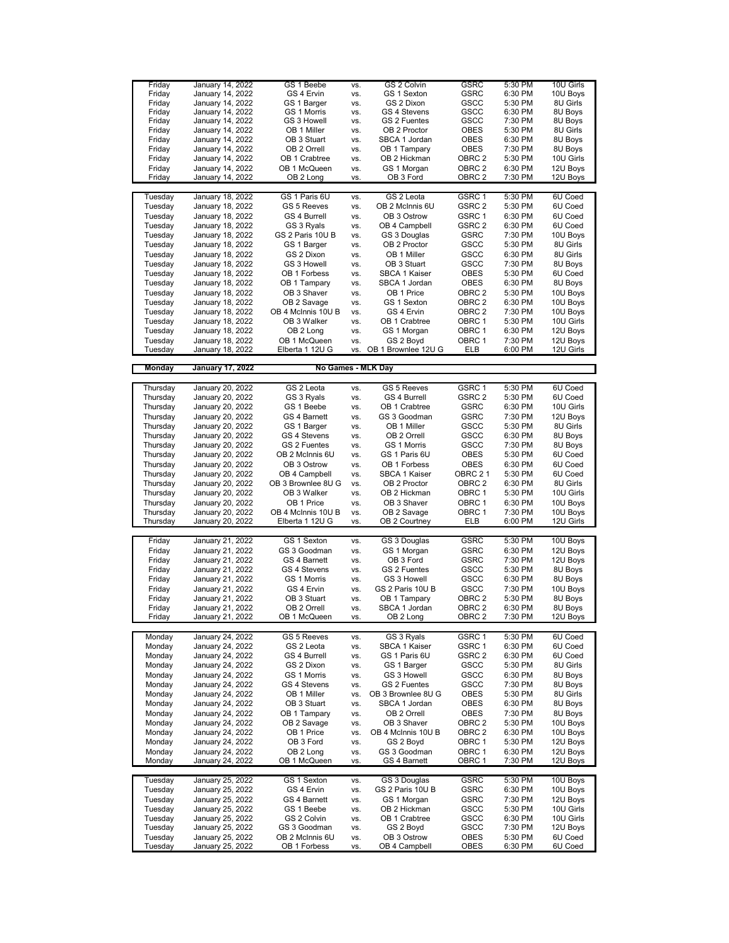| Friday<br>Friday |                         |                     |     |                     |                   |         |           |
|------------------|-------------------------|---------------------|-----|---------------------|-------------------|---------|-----------|
|                  | January 14, 2022        | GS 1 Beebe          | VS. | GS 2 Colvin         | <b>GSRC</b>       | 5:30 PM | 10U Girls |
|                  | January 14, 2022        | GS 4 Ervin          | VS. | GS 1 Sexton         | <b>GSRC</b>       | 6:30 PM | 10U Boys  |
| Friday           | January 14, 2022        | GS 1 Barger         | VS. | GS 2 Dixon          | GSCC              | 5:30 PM | 8U Girls  |
|                  |                         |                     |     |                     | GSCC              |         |           |
| Friday           | January 14, 2022        | GS 1 Morris         | VS. | GS 4 Stevens        |                   | 6:30 PM | 8U Boys   |
| Friday           | January 14, 2022        | GS 3 Howell         | VS. | GS 2 Fuentes        | GSCC              | 7:30 PM | 8U Boys   |
| Friday           | January 14, 2022        | OB 1 Miller         | VS. | OB 2 Proctor        | <b>OBES</b>       | 5:30 PM | 8U Girls  |
|                  | January 14, 2022        | OB 3 Stuart         |     | SBCA 1 Jordan       | <b>OBES</b>       | 6:30 PM | 8U Boys   |
| Friday           |                         |                     | VS. |                     |                   |         |           |
| Friday           | January 14, 2022        | OB 2 Orrell         | VS. | OB 1 Tampary        | OBES              | 7:30 PM | 8U Boys   |
| Friday           | January 14, 2022        | OB 1 Crabtree       | VS. | OB 2 Hickman        | OBRC 2            | 5:30 PM | 10U Girls |
|                  |                         |                     |     |                     |                   |         |           |
| Friday           | January 14, 2022        | OB 1 McQueen        | VS. | GS 1 Morgan         | OBRC 2            | 6:30 PM | 12U Boys  |
| Friday           | January 14, 2022        | OB 2 Long           | VS. | OB 3 Ford           | OBRC 2            | 7:30 PM | 12U Boys  |
|                  |                         |                     |     |                     |                   |         |           |
|                  |                         |                     |     |                     |                   |         |           |
| Tuesday          | January 18, 2022        | GS 1 Paris 6U       | VS. | GS 2 Leota          | GSRC 1            | 5:30 PM | 6U Coed   |
| Tuesday          | January 18, 2022        | GS 5 Reeves         | VS. | OB 2 McInnis 6U     | GSRC 2            | 5:30 PM | 6U Coed   |
| Tuesday          | January 18, 2022        | GS 4 Burrell        | VS. | OB 3 Ostrow         | GSRC 1            | 6:30 PM | 6U Coed   |
|                  |                         |                     |     |                     |                   |         |           |
| Tuesday          | January 18, 2022        | GS 3 Ryals          | VS. | OB 4 Campbell       | GSRC 2            | 6:30 PM | 6U Coed   |
| Tuesday          | January 18, 2022        | GS 2 Paris 10U B    | VS. | GS 3 Douglas        | GSRC              | 7:30 PM | 10U Boys  |
| Tuesday          | January 18, 2022        | GS 1 Barger         | VS. | OB 2 Proctor        | GSCC              | 5:30 PM | 8U Girls  |
|                  |                         |                     |     | OB 1 Miller         |                   |         |           |
| Tuesday          | January 18, 2022        | GS 2 Dixon          | VS. |                     | GSCC              | 6:30 PM | 8U Girls  |
| Tuesday          | January 18, 2022        | GS 3 Howell         | VS. | OB 3 Stuart         | GSCC              | 7:30 PM | 8U Boys   |
| Tuesday          | January 18, 2022        | OB 1 Forbess        | VS. | SBCA 1 Kaiser       | <b>OBES</b>       | 5:30 PM | 6U Coed   |
|                  |                         |                     |     |                     |                   |         |           |
| Tuesday          | January 18, 2022        | OB 1 Tampary        | VS. | SBCA 1 Jordan       | <b>OBES</b>       | 6:30 PM | 8U Boys   |
| Tuesday          | January 18, 2022        | OB 3 Shaver         | VS. | OB 1 Price          | OBRC 2            | 5:30 PM | 10U Boys  |
| Tuesday          | January 18, 2022        | OB 2 Savage         | VS. | GS 1 Sexton         | OBRC 2            | 6:30 PM | 10U Boys  |
|                  |                         |                     |     |                     |                   |         |           |
| Tuesday          | January 18, 2022        | OB 4 McInnis 10U B  | VS. | GS 4 Ervin          | OBRC 2            | 7:30 PM | 10U Boys  |
| Tuesday          | January 18, 2022        | OB 3 Walker         | VS. | OB 1 Crabtree       | OBRC 1            | 5:30 PM | 10U Girls |
| Tuesday          | January 18, 2022        | OB 2 Long           | VS. | GS 1 Morgan         | OBRC 1            | 6:30 PM | 12U Boys  |
|                  |                         |                     |     |                     |                   |         |           |
| Tuesday          | January 18, 2022        | OB 1 McQueen        | VS. | GS 2 Boyd           | OBRC 1            | 7:30 PM | 12U Boys  |
| Tuesday          | January 18, 2022        | Elberta 1 12U G     | VS. | OB 1 Brownlee 12U G | ELB               | 6:00 PM | 12U Girls |
|                  |                         |                     |     |                     |                   |         |           |
| <b>Monday</b>    | <b>January 17, 2022</b> | No Games - MLK Day  |     |                     |                   |         |           |
|                  |                         |                     |     |                     |                   |         |           |
|                  |                         |                     |     |                     |                   |         |           |
| Thursday         | January 20, 2022        | GS 2 Leota          | VS. | <b>GS 5 Reeves</b>  | GSRC <sub>1</sub> | 5:30 PM | 6U Coed   |
| Thursday         | January 20, 2022        | GS 3 Ryals          | VS. | GS 4 Burrell        | GSRC <sub>2</sub> | 5:30 PM | 6U Coed   |
|                  |                         |                     |     |                     |                   |         |           |
| Thursday         | January 20, 2022        | GS 1 Beebe          | VS. | OB 1 Crabtree       | GSRC              | 6:30 PM | 10U Girls |
| Thursday         | January 20, 2022        | <b>GS 4 Barnett</b> | VS. | GS 3 Goodman        | <b>GSRC</b>       | 7:30 PM | 12U Boys  |
| Thursday         | January 20, 2022        | GS 1 Barger         | VS. | OB 1 Miller         | GSCC              | 5:30 PM | 8U Girls  |
|                  |                         |                     |     |                     |                   |         |           |
| Thursday         | January 20, 2022        | GS 4 Stevens        | VS. | OB 2 Orrell         | GSCC              | 6:30 PM | 8U Boys   |
| Thursday         | January 20, 2022        | GS 2 Fuentes        | VS. | GS 1 Morris         | GSCC              | 7:30 PM | 8U Boys   |
| Thursday         | January 20, 2022        | OB 2 McInnis 6U     | VS. | GS 1 Paris 6U       | <b>OBES</b>       | 5:30 PM | 6U Coed   |
|                  |                         |                     |     |                     |                   |         |           |
| Thursday         | January 20, 2022        | OB 3 Ostrow         | VS. | OB 1 Forbess        | <b>OBES</b>       | 6:30 PM | 6U Coed   |
| Thursday         | January 20, 2022        | OB 4 Campbell       | VS. | SBCA 1 Kaiser       | OBRC 21           | 5:30 PM | 6U Coed   |
| Thursday         | January 20, 2022        | OB 3 Brownlee 8U G  | VS. | OB 2 Proctor        | OBRC <sub>2</sub> | 6:30 PM | 8U Girls  |
|                  |                         |                     |     |                     |                   |         |           |
| Thursday         | January 20, 2022        | OB 3 Walker         | VS. | OB 2 Hickman        | OBRC 1            | 5:30 PM | 10U Girls |
| Thursday         | January 20, 2022        | OB 1 Price          | VS. | OB 3 Shaver         | OBRC 1            | 6:30 PM | 10U Boys  |
| Thursday         | January 20, 2022        | OB 4 McInnis 10U B  | VS. | OB 2 Savage         | OBRC 1            | 7:30 PM | 10U Boys  |
|                  |                         |                     |     |                     |                   |         |           |
| Thursday         | January 20, 2022        | Elberta 1 12U G     | VS. | OB 2 Courtney       | ELB               | 6:00 PM | 12U Girls |
|                  |                         |                     |     |                     |                   |         |           |
| Friday           | January 21, 2022        | GS 1 Sexton         | VS. | GS 3 Douglas        | GSRC              | 5:30 PM | 10U Boys  |
| Friday           | January 21, 2022        | GS 3 Goodman        | VS. | GS 1 Morgan         | <b>GSRC</b>       | 6:30 PM | 12U Boys  |
|                  |                         |                     |     |                     |                   |         |           |
| Friday           | January 21, 2022        | <b>GS 4 Barnett</b> | VS. | OB 3 Ford           | <b>GSRC</b>       | 7:30 PM | 12U Boys  |
| Friday           | January 21, 2022        | GS 4 Stevens        | VS. | GS 2 Fuentes        |                   | 5:30 PM |           |
| Friday           | January 21, 2022        |                     |     |                     | GSCC              |         | 8U Boys   |
|                  |                         |                     |     |                     |                   |         |           |
|                  |                         | GS 1 Morris         | VS. | GS 3 Howell         | GSCC              | 6:30 PM | 8U Boys   |
| Friday           | January 21, 2022        | GS 4 Ervin          | VS. | GS 2 Paris 10U B    | GSCC              | 7:30 PM | 10U Boys  |
| Friday           | January 21, 2022        | OB 3 Stuart         | VS. | OB 1 Tampary        | OBRC 2            | 5:30 PM | 8U Boys   |
|                  |                         |                     |     |                     |                   |         |           |
| Friday           | January 21, 2022        | OB 2 Orrell         | VS. | SBCA 1 Jordan       | OBRC 2            | 6:30 PM | 8U Boys   |
| Friday           | January 21, 2022        | OB 1 McQueen        | VS. | OB 2 Long           | OBRC 2            | 7:30 PM | 12U Boys  |
|                  |                         |                     |     |                     |                   |         |           |
| Monday           | January 24, 2022        | GS 5 Reeves         | VS. | GS 3 Ryals          | GSRC 1            | 5:30 PM | 6U Coed   |
|                  |                         |                     | VS. | SBCA 1 Kaiser       |                   |         |           |
| Monday           | January 24, 2022        | GS 2 Leota          |     |                     | GSRC 1            | 6:30 PM | 6U Coed   |
| Monday           | January 24, 2022        | GS 4 Burrell        | VS. | GS 1 Paris 6U       | GSRC 2            | 6:30 PM | 6U Coed   |
| Monday           | January 24, 2022        | GS 2 Dixon          | VS. | GS 1 Barger         | GSCC              | 5:30 PM | 8U Girls  |
| Monday           | January 24, 2022        | GS 1 Morris         | VS. | GS 3 Howell         | <b>GSCC</b>       | 6:30 PM | 8U Boys   |
|                  |                         |                     |     |                     |                   |         |           |
| Monday           | January 24, 2022        | GS 4 Stevens        | VS. | GS 2 Fuentes        | GSCC              | 7:30 PM | 8U Boys   |
| Monday           | January 24, 2022        | OB 1 Miller         | VS. | OB 3 Brownlee 8U G  | <b>OBES</b>       | 5:30 PM | 8U Girls  |
| Monday           | January 24, 2022        | OB 3 Stuart         | VS. | SBCA 1 Jordan       | <b>OBES</b>       | 6:30 PM | 8U Boys   |
|                  |                         |                     |     |                     |                   |         |           |
| Monday           | January 24, 2022        | OB 1 Tampary        | VS. | OB 2 Orrell         | <b>OBES</b>       | 7:30 PM | 8U Boys   |
| Monday           | January 24, 2022        | OB 2 Savage         | VS. | OB 3 Shaver         | OBRC 2            | 5:30 PM | 10U Boys  |
| Monday           | January 24, 2022        | OB 1 Price          | VS. | OB 4 McInnis 10U B  | OBRC <sub>2</sub> | 6:30 PM | 10U Boys  |
|                  |                         |                     |     |                     |                   |         |           |
| Monday           | January 24, 2022        | OB 3 Ford           | VS. | GS 2 Boyd           | OBRC 1            | 5:30 PM | 12U Boys  |
| Monday           | January 24, 2022        | OB 2 Long           | VS. | GS 3 Goodman        | OBRC 1            | 6:30 PM | 12U Boys  |
| Monday           | January 24, 2022        | OB 1 McQueen        | VS. | GS 4 Barnett        | OBRC 1            | 7:30 PM | 12U Boys  |
|                  |                         |                     |     |                     |                   |         |           |
|                  |                         |                     |     |                     |                   |         |           |
| Tuesday          | January 25, 2022        | GS 1 Sexton         | VS. | GS 3 Douglas        | <b>GSRC</b>       | 5:30 PM | 10U Boys  |
| Tuesday          | January 25, 2022        | GS 4 Ervin          | VS. | GS 2 Paris 10U B    | GSRC              | 6:30 PM | 10U Boys  |
| Tuesday          | January 25, 2022        | GS 4 Barnett        | VS. | GS 1 Morgan         | GSRC              | 7:30 PM | 12U Boys  |
|                  |                         |                     |     |                     |                   |         |           |
| Tuesday          | January 25, 2022        | GS 1 Beebe          | VS. | OB 2 Hickman        | GSCC              | 5:30 PM | 10U Girls |
| Tuesday          | January 25, 2022        | GS 2 Colvin         | VS. | OB 1 Crabtree       | GSCC              | 6:30 PM | 10U Girls |
| Tuesday          | January 25, 2022        | GS 3 Goodman        | VS. | GS 2 Boyd           | GSCC              | 7:30 PM | 12U Boys  |
| Tuesday          | January 25, 2022        | OB 2 McInnis 6U     | VS. | OB 3 Ostrow         | OBES              | 5:30 PM | 6U Coed   |